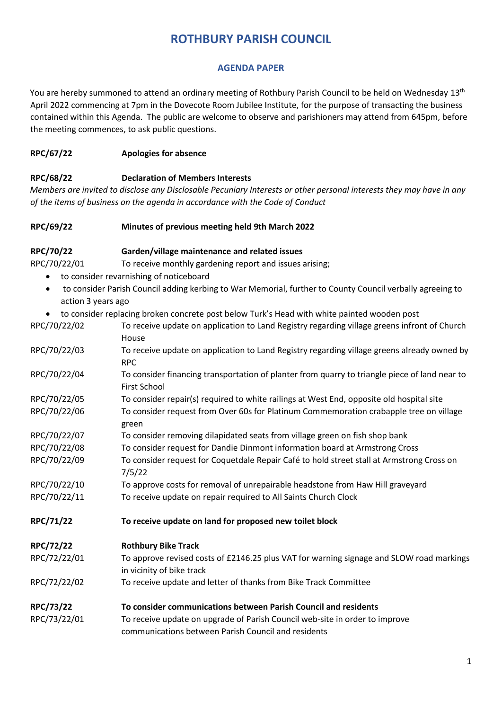# **ROTHBURY PARISH COUNCIL**

#### **AGENDA PAPER**

You are hereby summoned to attend an ordinary meeting of Rothbury Parish Council to be held on Wednesday 13<sup>th</sup> April 2022 commencing at 7pm in the Dovecote Room Jubilee Institute, for the purpose of transacting the business contained within this Agenda. The public are welcome to observe and parishioners may attend from 645pm, before the meeting commences, to ask public questions.

#### **RPC/67/22 Apologies for absence**

#### **RPC/68/22 Declaration of Members Interests**

*Members are invited to disclose any Disclosable Pecuniary Interests or other personal interests they may have in any of the items of business on the agenda in accordance with the Code of Conduct* 

#### **RPC/69/22 Minutes of previous meeting held 9th March 2022**

### **RPC/70/22 Garden/village maintenance and related issues**

RPC/70/22/01 To receive monthly gardening report and issues arising;

- to consider revarnishing of noticeboard
- to consider Parish Council adding kerbing to War Memorial, further to County Council verbally agreeing to action 3 years ago
- to consider replacing broken concrete post below Turk's Head with white painted wooden post

| RPC/70/22/02 | To receive update on application to Land Registry regarding village greens infront of Church<br>House                              |
|--------------|------------------------------------------------------------------------------------------------------------------------------------|
| RPC/70/22/03 | To receive update on application to Land Registry regarding village greens already owned by<br><b>RPC</b>                          |
| RPC/70/22/04 | To consider financing transportation of planter from quarry to triangle piece of land near to<br><b>First School</b>               |
| RPC/70/22/05 | To consider repair(s) required to white railings at West End, opposite old hospital site                                           |
| RPC/70/22/06 | To consider request from Over 60s for Platinum Commemoration crabapple tree on village<br>green                                    |
| RPC/70/22/07 | To consider removing dilapidated seats from village green on fish shop bank                                                        |
| RPC/70/22/08 | To consider request for Dandie Dinmont information board at Armstrong Cross                                                        |
| RPC/70/22/09 | To consider request for Coquetdale Repair Café to hold street stall at Armstrong Cross on<br>7/5/22                                |
| RPC/70/22/10 | To approve costs for removal of unrepairable headstone from Haw Hill graveyard                                                     |
| RPC/70/22/11 | To receive update on repair required to All Saints Church Clock                                                                    |
| RPC/71/22    | To receive update on land for proposed new toilet block                                                                            |
| RPC/72/22    | <b>Rothbury Bike Track</b>                                                                                                         |
| RPC/72/22/01 | To approve revised costs of £2146.25 plus VAT for warning signage and SLOW road markings<br>in vicinity of bike track              |
| RPC/72/22/02 | To receive update and letter of thanks from Bike Track Committee                                                                   |
| RPC/73/22    | To consider communications between Parish Council and residents                                                                    |
| RPC/73/22/01 | To receive update on upgrade of Parish Council web-site in order to improve<br>communications between Parish Council and residents |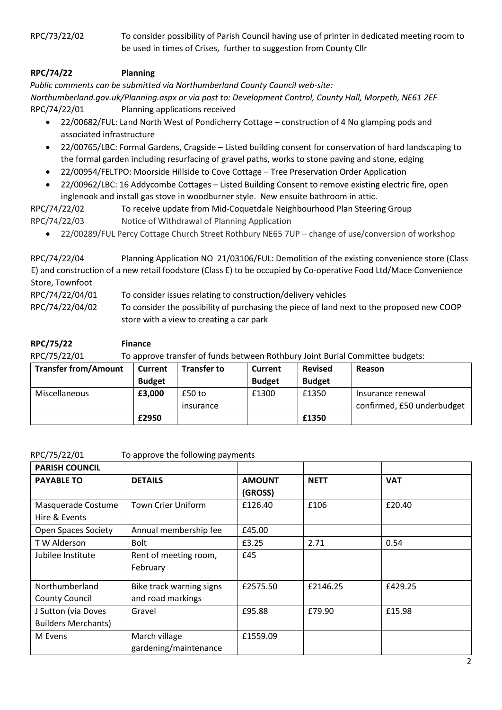RPC/73/22/02 To consider possibility of Parish Council having use of printer in dedicated meeting room to be used in times of Crises, further to suggestion from County Cllr

## **RPC/74/22 Planning**

*Public comments can be submitted via Northumberland County Council web-site: Northumberland.gov.uk/Planning.aspx or via post to: Development Control, County Hall, Morpeth, NE61 2EF* RPC/74/22/01 Planning applications received

- 22/00682/FUL: Land North West of Pondicherry Cottage construction of 4 No glamping pods and associated infrastructure
- 22/00765/LBC: Formal Gardens, Cragside Listed building consent for conservation of hard landscaping to the formal garden including resurfacing of gravel paths, works to stone paving and stone, edging
- 22/00954/FELTPO: Moorside Hillside to Cove Cottage Tree Preservation Order Application
- 22/00962/LBC: 16 Addycombe Cottages Listed Building Consent to remove existing electric fire, open inglenook and install gas stove in woodburner style. New ensuite bathroom in attic.

RPC/74/22/02 To receive update from Mid-Coquetdale Neighbourhood Plan Steering Group RPC/74/22/03 Notice of Withdrawal of Planning Application

• 22/00289/FUL Percy Cottage Church Street Rothbury NE65 7UP – change of use/conversion of workshop

RPC/74/22/04 Planning Application NO 21/03106/FUL: Demolition of the existing convenience store (Class E) and construction of a new retail foodstore (Class E) to be occupied by Co-operative Food Ltd/Mace Convenience Store, Townfoot RPC/74/22/04/01 To consider issues relating to construction/delivery vehicles RPC/74/22/04/02 To consider the possibility of purchasing the piece of land next to the proposed new COOP store with a view to creating a car park

| RPC/75/22                   | <b>Finance</b>                                                                |                    |               |                |                            |  |
|-----------------------------|-------------------------------------------------------------------------------|--------------------|---------------|----------------|----------------------------|--|
| RPC/75/22/01                | To approve transfer of funds between Rothbury Joint Burial Committee budgets: |                    |               |                |                            |  |
| <b>Transfer from/Amount</b> | <b>Current</b>                                                                | <b>Transfer to</b> | Current       | <b>Revised</b> | Reason                     |  |
|                             | <b>Budget</b>                                                                 |                    | <b>Budget</b> | <b>Budget</b>  |                            |  |
| Miscellaneous               | £3,000                                                                        | $£50$ to           | £1300         | £1350          | Insurance renewal          |  |
|                             |                                                                               | insurance          |               |                | confirmed, £50 underbudget |  |

**£2950 £1350**

| RPC/75/22/01 |  |  |  |  |  |  |  |  |
|--------------|--|--|--|--|--|--|--|--|
|--------------|--|--|--|--|--|--|--|--|

To approve the following payments

| <b>PARISH COUNCIL</b>                             |                                               |                          |             |            |
|---------------------------------------------------|-----------------------------------------------|--------------------------|-------------|------------|
| <b>PAYABLE TO</b>                                 | <b>DETAILS</b>                                | <b>AMOUNT</b><br>(GROSS) | <b>NETT</b> | <b>VAT</b> |
| Masquerade Costume<br>Hire & Events               | <b>Town Crier Uniform</b>                     | £126.40                  | £106        | £20.40     |
| <b>Open Spaces Society</b>                        | Annual membership fee                         | £45.00                   |             |            |
| T W Alderson                                      | <b>Bolt</b>                                   | £3.25                    | 2.71        | 0.54       |
| Jubilee Institute                                 | Rent of meeting room,<br>February             | £45                      |             |            |
| Northumberland<br><b>County Council</b>           | Bike track warning signs<br>and road markings | £2575.50                 | £2146.25    | £429.25    |
| J Sutton (via Doves<br><b>Builders Merchants)</b> | Gravel                                        | £95.88                   | £79.90      | £15.98     |
| M Evens                                           | March village<br>gardening/maintenance        | £1559.09                 |             |            |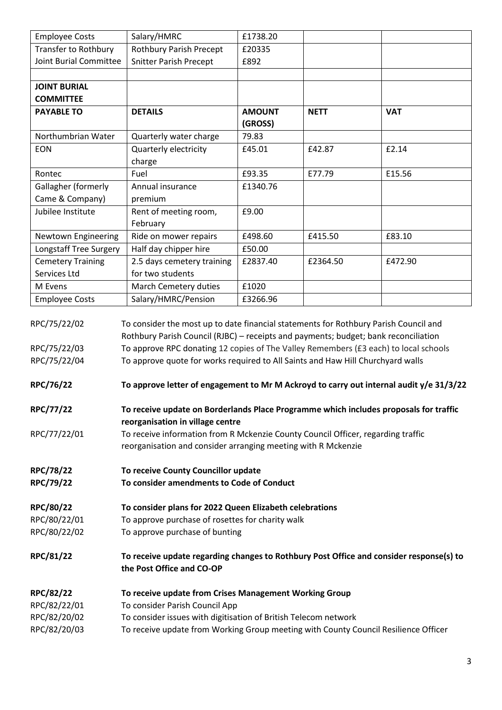| <b>Employee Costs</b>        | Salary/HMRC                                                                                                                                                                 | £1738.20      |             |            |
|------------------------------|-----------------------------------------------------------------------------------------------------------------------------------------------------------------------------|---------------|-------------|------------|
| Transfer to Rothbury         | <b>Rothbury Parish Precept</b>                                                                                                                                              | £20335        |             |            |
| Joint Burial Committee       | <b>Snitter Parish Precept</b>                                                                                                                                               | £892          |             |            |
|                              |                                                                                                                                                                             |               |             |            |
| <b>JOINT BURIAL</b>          |                                                                                                                                                                             |               |             |            |
| <b>COMMITTEE</b>             |                                                                                                                                                                             |               |             |            |
| <b>PAYABLE TO</b>            | <b>DETAILS</b>                                                                                                                                                              | <b>AMOUNT</b> | <b>NETT</b> | <b>VAT</b> |
|                              |                                                                                                                                                                             | (GROSS)       |             |            |
| Northumbrian Water           | Quarterly water charge                                                                                                                                                      | 79.83         |             |            |
| <b>EON</b>                   | Quarterly electricity                                                                                                                                                       | £45.01        | £42.87      | £2.14      |
|                              | charge                                                                                                                                                                      |               |             |            |
| Rontec                       | Fuel                                                                                                                                                                        | £93.35        | E77.79      | E15.56     |
| Gallagher (formerly          | Annual insurance                                                                                                                                                            | £1340.76      |             |            |
| Came & Company)              | premium                                                                                                                                                                     |               |             |            |
| Jubilee Institute            | Rent of meeting room,                                                                                                                                                       | £9.00         |             |            |
|                              | February                                                                                                                                                                    |               |             |            |
| Newtown Engineering          | Ride on mower repairs                                                                                                                                                       | £498.60       | £415.50     | £83.10     |
| Longstaff Tree Surgery       | Half day chipper hire                                                                                                                                                       | £50.00        |             |            |
| <b>Cemetery Training</b>     | 2.5 days cemetery training                                                                                                                                                  | £2837.40      | £2364.50    | £472.90    |
| Services Ltd                 | for two students                                                                                                                                                            |               |             |            |
| M Evens                      | March Cemetery duties                                                                                                                                                       | £1020         |             |            |
| <b>Employee Costs</b>        | Salary/HMRC/Pension                                                                                                                                                         | £3266.96      |             |            |
| RPC/75/22/02                 | To consider the most up to date financial statements for Rothbury Parish Council and<br>Rothbury Parish Council (RJBC) - receipts and payments; budget; bank reconciliation |               |             |            |
| RPC/75/22/03<br>RPC/75/22/04 | To approve RPC donating 12 copies of The Valley Remembers (£3 each) to local schools<br>To approve quote for works required to All Saints and Haw Hill Churchyard walls     |               |             |            |
|                              |                                                                                                                                                                             |               |             |            |
| RPC/76/22                    | To approve letter of engagement to Mr M Ackroyd to carry out internal audit y/e 31/3/22                                                                                     |               |             |            |
| RPC/77/22                    | To receive update on Borderlands Place Programme which includes proposals for traffic<br>reorganisation in village centre                                                   |               |             |            |
| RPC/77/22/01                 | To receive information from R Mckenzie County Council Officer, regarding traffic                                                                                            |               |             |            |
|                              | reorganisation and consider arranging meeting with R Mckenzie                                                                                                               |               |             |            |
| RPC/78/22                    | To receive County Councillor update                                                                                                                                         |               |             |            |
| RPC/79/22                    | To consider amendments to Code of Conduct                                                                                                                                   |               |             |            |
|                              |                                                                                                                                                                             |               |             |            |
| RPC/80/22                    | To consider plans for 2022 Queen Elizabeth celebrations                                                                                                                     |               |             |            |
| RPC/80/22/01                 | To approve purchase of rosettes for charity walk                                                                                                                            |               |             |            |
| RPC/80/22/02                 | To approve purchase of bunting                                                                                                                                              |               |             |            |
|                              |                                                                                                                                                                             |               |             |            |
| <b>RPC/81/22</b>             | To receive update regarding changes to Rothbury Post Office and consider response(s) to<br>the Post Office and CO-OP                                                        |               |             |            |
| RPC/82/22                    | To receive update from Crises Management Working Group                                                                                                                      |               |             |            |
| RPC/82/22/01                 | To consider Parish Council App                                                                                                                                              |               |             |            |
| RPC/82/20/02                 | To consider issues with digitisation of British Telecom network                                                                                                             |               |             |            |
| RPC/82/20/03                 | To receive update from Working Group meeting with County Council Resilience Officer                                                                                         |               |             |            |
|                              |                                                                                                                                                                             |               |             |            |